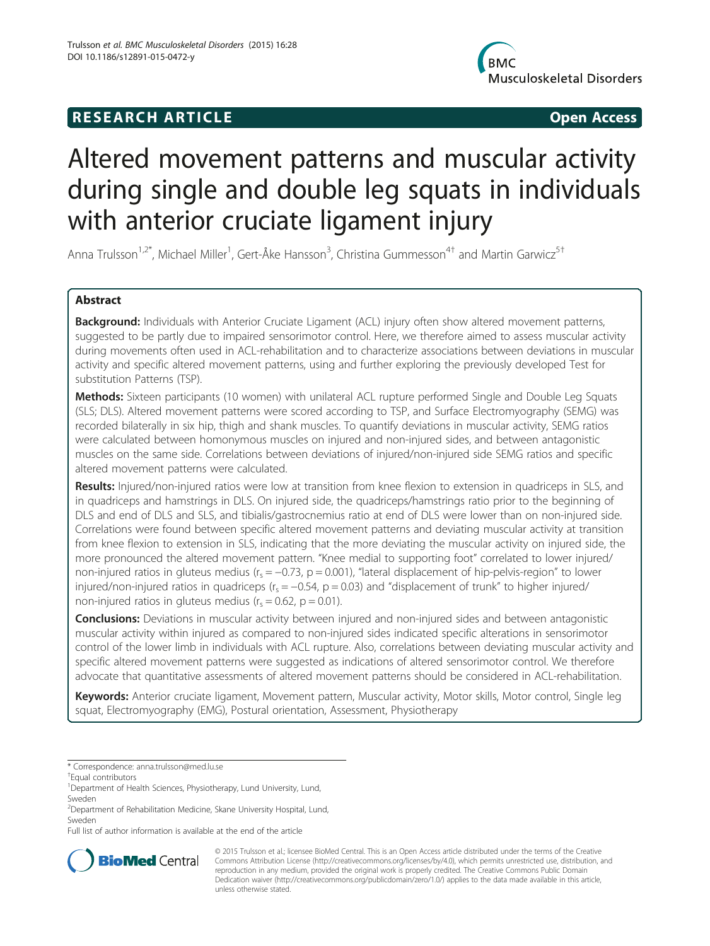# **RESEARCH ARTICLE Example 2018 12:00 Open Access**



# Altered movement patterns and muscular activity during single and double leg squats in individuals with anterior cruciate ligament injury

Anna Trulsson<sup>1,2\*</sup>, Michael Miller<sup>1</sup>, Gert-Åke Hansson<sup>3</sup>, Christina Gummesson<sup>4†</sup> and Martin Garwicz<sup>5†</sup>

# Abstract

Background: Individuals with Anterior Cruciate Ligament (ACL) injury often show altered movement patterns, suggested to be partly due to impaired sensorimotor control. Here, we therefore aimed to assess muscular activity during movements often used in ACL-rehabilitation and to characterize associations between deviations in muscular activity and specific altered movement patterns, using and further exploring the previously developed Test for substitution Patterns (TSP).

**Methods:** Sixteen participants (10 women) with unilateral ACL rupture performed Single and Double Leg Squats (SLS; DLS). Altered movement patterns were scored according to TSP, and Surface Electromyography (SEMG) was recorded bilaterally in six hip, thigh and shank muscles. To quantify deviations in muscular activity, SEMG ratios were calculated between homonymous muscles on injured and non-injured sides, and between antagonistic muscles on the same side. Correlations between deviations of injured/non-injured side SEMG ratios and specific altered movement patterns were calculated.

Results: Injured/non-injured ratios were low at transition from knee flexion to extension in quadriceps in SLS, and in quadriceps and hamstrings in DLS. On injured side, the quadriceps/hamstrings ratio prior to the beginning of DLS and end of DLS and SLS, and tibialis/gastrocnemius ratio at end of DLS were lower than on non-injured side. Correlations were found between specific altered movement patterns and deviating muscular activity at transition from knee flexion to extension in SLS, indicating that the more deviating the muscular activity on injured side, the more pronounced the altered movement pattern. "Knee medial to supporting foot" correlated to lower injured/ non-injured ratios in gluteus medius (r<sub>s</sub> = −0.73, p = 0.001), "lateral displacement of hip-pelvis-region" to lower injured/non-injured ratios in quadriceps ( $r_s = -0.54$ , p = 0.03) and "displacement of trunk" to higher injured/ non-injured ratios in gluteus medius ( $r_s = 0.62$ ,  $p = 0.01$ ).

**Conclusions:** Deviations in muscular activity between injured and non-injured sides and between antagonistic muscular activity within injured as compared to non-injured sides indicated specific alterations in sensorimotor control of the lower limb in individuals with ACL rupture. Also, correlations between deviating muscular activity and specific altered movement patterns were suggested as indications of altered sensorimotor control. We therefore advocate that quantitative assessments of altered movement patterns should be considered in ACL-rehabilitation.

Keywords: Anterior cruciate ligament, Movement pattern, Muscular activity, Motor skills, Motor control, Single leg squat, Electromyography (EMG), Postural orientation, Assessment, Physiotherapy

\* Correspondence: [anna.trulsson@med.lu.se](mailto:anna.trulsson@med.lu.se) †

Equal contributors

Full list of author information is available at the end of the article



© 2015 Trulsson et al.; licensee BioMed Central. This is an Open Access article distributed under the terms of the Creative Commons Attribution License [\(http://creativecommons.org/licenses/by/4.0\)](http://creativecommons.org/licenses/by/4.0), which permits unrestricted use, distribution, and reproduction in any medium, provided the original work is properly credited. The Creative Commons Public Domain Dedication waiver [\(http://creativecommons.org/publicdomain/zero/1.0/](http://creativecommons.org/publicdomain/zero/1.0/)) applies to the data made available in this article, unless otherwise stated.

<sup>&</sup>lt;sup>1</sup>Department of Health Sciences, Physiotherapy, Lund University, Lund, Sweden

<sup>&</sup>lt;sup>2</sup>Department of Rehabilitation Medicine, Skane University Hospital, Lund, Sweden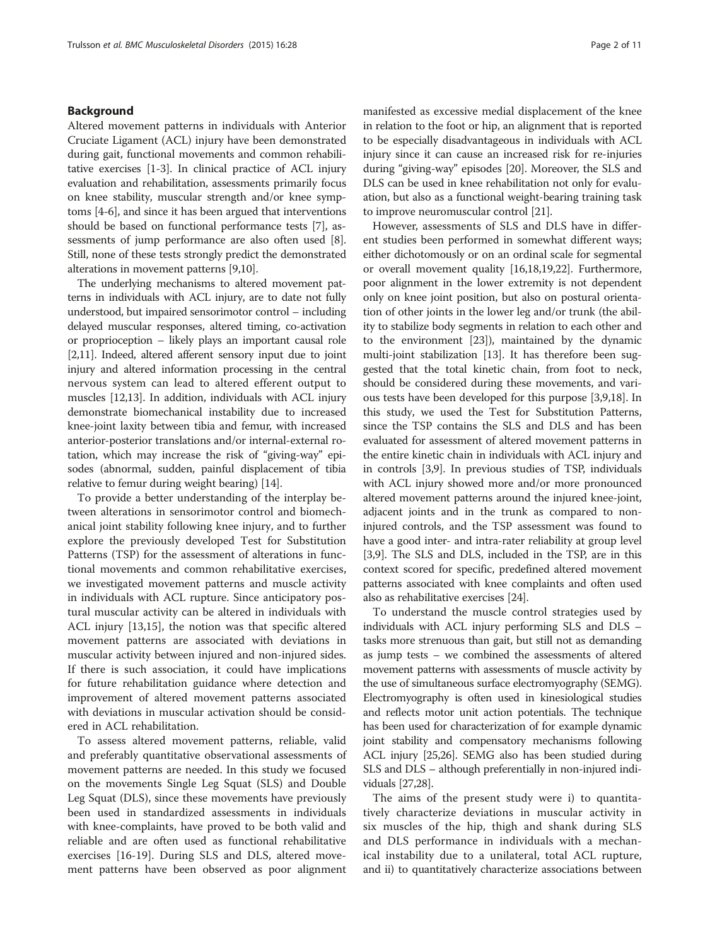#### Background

Altered movement patterns in individuals with Anterior Cruciate Ligament (ACL) injury have been demonstrated during gait, functional movements and common rehabilitative exercises [\[1-3](#page-9-0)]. In clinical practice of ACL injury evaluation and rehabilitation, assessments primarily focus on knee stability, muscular strength and/or knee symptoms [\[4](#page-9-0)-[6](#page-9-0)], and since it has been argued that interventions should be based on functional performance tests [\[7\]](#page-9-0), assessments of jump performance are also often used [[8](#page-9-0)]. Still, none of these tests strongly predict the demonstrated alterations in movement patterns [\[9,10](#page-9-0)].

The underlying mechanisms to altered movement patterns in individuals with ACL injury, are to date not fully understood, but impaired sensorimotor control – including delayed muscular responses, altered timing, co-activation or proprioception – likely plays an important causal role [[2,11\]](#page-9-0). Indeed, altered afferent sensory input due to joint injury and altered information processing in the central nervous system can lead to altered efferent output to muscles [\[12,13\]](#page-9-0). In addition, individuals with ACL injury demonstrate biomechanical instability due to increased knee-joint laxity between tibia and femur, with increased anterior-posterior translations and/or internal-external rotation, which may increase the risk of "giving-way" episodes (abnormal, sudden, painful displacement of tibia relative to femur during weight bearing) [\[14\]](#page-9-0).

To provide a better understanding of the interplay between alterations in sensorimotor control and biomechanical joint stability following knee injury, and to further explore the previously developed Test for Substitution Patterns (TSP) for the assessment of alterations in functional movements and common rehabilitative exercises, we investigated movement patterns and muscle activity in individuals with ACL rupture. Since anticipatory postural muscular activity can be altered in individuals with ACL injury [[13](#page-9-0),[15](#page-9-0)], the notion was that specific altered movement patterns are associated with deviations in muscular activity between injured and non-injured sides. If there is such association, it could have implications for future rehabilitation guidance where detection and improvement of altered movement patterns associated with deviations in muscular activation should be considered in ACL rehabilitation.

To assess altered movement patterns, reliable, valid and preferably quantitative observational assessments of movement patterns are needed. In this study we focused on the movements Single Leg Squat (SLS) and Double Leg Squat (DLS), since these movements have previously been used in standardized assessments in individuals with knee-complaints, have proved to be both valid and reliable and are often used as functional rehabilitative exercises [[16-](#page-9-0)[19\]](#page-10-0). During SLS and DLS, altered movement patterns have been observed as poor alignment

manifested as excessive medial displacement of the knee in relation to the foot or hip, an alignment that is reported to be especially disadvantageous in individuals with ACL injury since it can cause an increased risk for re-injuries during "giving-way" episodes [\[20\]](#page-10-0). Moreover, the SLS and DLS can be used in knee rehabilitation not only for evaluation, but also as a functional weight-bearing training task to improve neuromuscular control [[21](#page-10-0)].

However, assessments of SLS and DLS have in different studies been performed in somewhat different ways; either dichotomously or on an ordinal scale for segmental or overall movement quality [\[16,](#page-9-0)[18,19,22\]](#page-10-0). Furthermore, poor alignment in the lower extremity is not dependent only on knee joint position, but also on postural orientation of other joints in the lower leg and/or trunk (the ability to stabilize body segments in relation to each other and to the environment [\[23\]](#page-10-0)), maintained by the dynamic multi-joint stabilization [\[13](#page-9-0)]. It has therefore been suggested that the total kinetic chain, from foot to neck, should be considered during these movements, and various tests have been developed for this purpose [[3,9](#page-9-0)[,18\]](#page-10-0). In this study, we used the Test for Substitution Patterns, since the TSP contains the SLS and DLS and has been evaluated for assessment of altered movement patterns in the entire kinetic chain in individuals with ACL injury and in controls [[3,9\]](#page-9-0). In previous studies of TSP, individuals with ACL injury showed more and/or more pronounced altered movement patterns around the injured knee-joint, adjacent joints and in the trunk as compared to noninjured controls, and the TSP assessment was found to have a good inter- and intra-rater reliability at group level [[3,9\]](#page-9-0). The SLS and DLS, included in the TSP, are in this context scored for specific, predefined altered movement patterns associated with knee complaints and often used also as rehabilitative exercises [[24\]](#page-10-0).

To understand the muscle control strategies used by individuals with ACL injury performing SLS and DLS – tasks more strenuous than gait, but still not as demanding as jump tests – we combined the assessments of altered movement patterns with assessments of muscle activity by the use of simultaneous surface electromyography (SEMG). Electromyography is often used in kinesiological studies and reflects motor unit action potentials. The technique has been used for characterization of for example dynamic joint stability and compensatory mechanisms following ACL injury [\[25,26\]](#page-10-0). SEMG also has been studied during SLS and DLS – although preferentially in non-injured individuals [[27,28\]](#page-10-0).

The aims of the present study were i) to quantitatively characterize deviations in muscular activity in six muscles of the hip, thigh and shank during SLS and DLS performance in individuals with a mechanical instability due to a unilateral, total ACL rupture, and ii) to quantitatively characterize associations between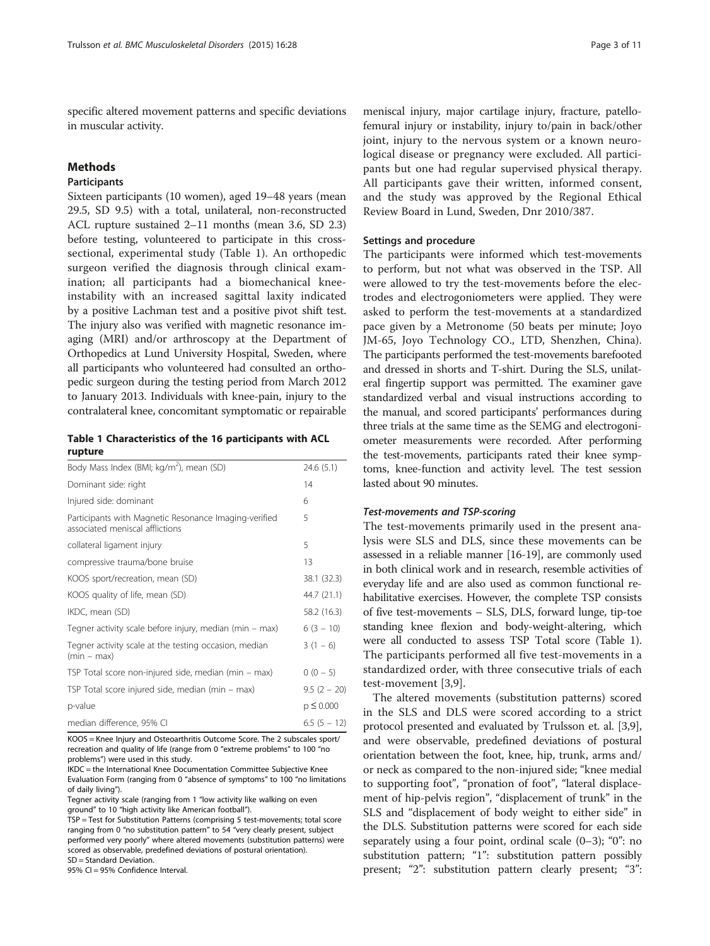<span id="page-2-0"></span>specific altered movement patterns and specific deviations in muscular activity.

#### Methods

# Participants

Sixteen participants (10 women), aged 19–48 years (mean 29.5, SD 9.5) with a total, unilateral, non-reconstructed ACL rupture sustained 2–11 months (mean 3.6, SD 2.3) before testing, volunteered to participate in this crosssectional, experimental study (Table 1). An orthopedic surgeon verified the diagnosis through clinical examination; all participants had a biomechanical kneeinstability with an increased sagittal laxity indicated by a positive Lachman test and a positive pivot shift test. The injury also was verified with magnetic resonance imaging (MRI) and/or arthroscopy at the Department of Orthopedics at Lund University Hospital, Sweden, where all participants who volunteered had consulted an orthopedic surgeon during the testing period from March 2012 to January 2013. Individuals with knee-pain, injury to the contralateral knee, concomitant symptomatic or repairable

|         |  | Table 1 Characteristics of the 16 participants with ACL |  |
|---------|--|---------------------------------------------------------|--|
| rupture |  |                                                         |  |

| Body Mass Index (BMI; kg/m <sup>2</sup> ), mean (SD)                                     | 24.6(5.1)     |
|------------------------------------------------------------------------------------------|---------------|
| Dominant side: right                                                                     | 14            |
| Injured side: dominant                                                                   | 6             |
| Participants with Magnetic Resonance Imaging-verified<br>associated meniscal afflictions | 5             |
| collateral ligament injury                                                               | 5             |
| compressive trauma/bone bruise                                                           | 13            |
| KOOS sport/recreation, mean (SD)                                                         | 38.1 (32.3)   |
| KOOS quality of life, mean (SD)                                                          | 44.7 (21.1)   |
| IKDC, mean (SD)                                                                          | 58.2 (16.3)   |
| Tegner activity scale before injury, median (min – max)                                  | $6(3 - 10)$   |
| Tegner activity scale at the testing occasion, median<br>$(min - max)$                   | $3(1-6)$      |
| TSP Total score non-injured side, median (min - max)                                     | $0(0 - 5)$    |
| TSP Total score injured side, median (min – max)                                         | $9.5(2 - 20)$ |
| p-value                                                                                  | $p \le 0.000$ |
| median difference, 95% CI                                                                | $6.5(5 - 12)$ |

KOOS = Knee Injury and Osteoarthritis Outcome Score. The 2 subscales sport/ recreation and quality of life (range from 0 "extreme problems" to 100 "no problems") were used in this study.

IKDC = the International Knee Documentation Committee Subjective Knee Evaluation Form (ranging from 0 "absence of symptoms" to 100 "no limitations of daily living").

Tegner activity scale (ranging from 1 "low activity like walking on even ground" to 10 "high activity like American football").

TSP = Test for Substitution Patterns (comprising 5 test-movements; total score ranging from 0 "no substitution pattern" to 54 "very clearly present, subject performed very poorly" where altered movements (substitution patterns) were scored as observable, predefined deviations of postural orientation). SD = Standard Deviation.

95% CI = 95% Confidence Interval.

meniscal injury, major cartilage injury, fracture, patellofemural injury or instability, injury to/pain in back/other joint, injury to the nervous system or a known neurological disease or pregnancy were excluded. All participants but one had regular supervised physical therapy. All participants gave their written, informed consent, and the study was approved by the Regional Ethical Review Board in Lund, Sweden, Dnr 2010/387.

#### Settings and procedure

The participants were informed which test-movements to perform, but not what was observed in the TSP. All were allowed to try the test-movements before the electrodes and electrogoniometers were applied. They were asked to perform the test-movements at a standardized pace given by a Metronome (50 beats per minute; Joyo JM-65, Joyo Technology CO., LTD, Shenzhen, China). The participants performed the test-movements barefooted and dressed in shorts and T-shirt. During the SLS, unilateral fingertip support was permitted. The examiner gave standardized verbal and visual instructions according to the manual, and scored participants' performances during three trials at the same time as the SEMG and electrogoniometer measurements were recorded. After performing the test-movements, participants rated their knee symptoms, knee-function and activity level. The test session lasted about 90 minutes.

#### Test-movements and TSP-scoring

The test-movements primarily used in the present analysis were SLS and DLS, since these movements can be assessed in a reliable manner [\[16](#page-9-0)[-19\]](#page-10-0), are commonly used in both clinical work and in research, resemble activities of everyday life and are also used as common functional rehabilitative exercises. However, the complete TSP consists of five test-movements – SLS, DLS, forward lunge, tip-toe standing knee flexion and body-weight-altering, which were all conducted to assess TSP Total score (Table 1). The participants performed all five test-movements in a standardized order, with three consecutive trials of each test-movement [[3,9](#page-9-0)].

The altered movements (substitution patterns) scored in the SLS and DLS were scored according to a strict protocol presented and evaluated by Trulsson et. al. [[3](#page-9-0),[9](#page-9-0)], and were observable, predefined deviations of postural orientation between the foot, knee, hip, trunk, arms and/ or neck as compared to the non-injured side; "knee medial to supporting foot", "pronation of foot", "lateral displacement of hip-pelvis region", "displacement of trunk" in the SLS and "displacement of body weight to either side" in the DLS. Substitution patterns were scored for each side separately using a four point, ordinal scale (0–3); "0": no substitution pattern; "1": substitution pattern possibly present; "2": substitution pattern clearly present; "3":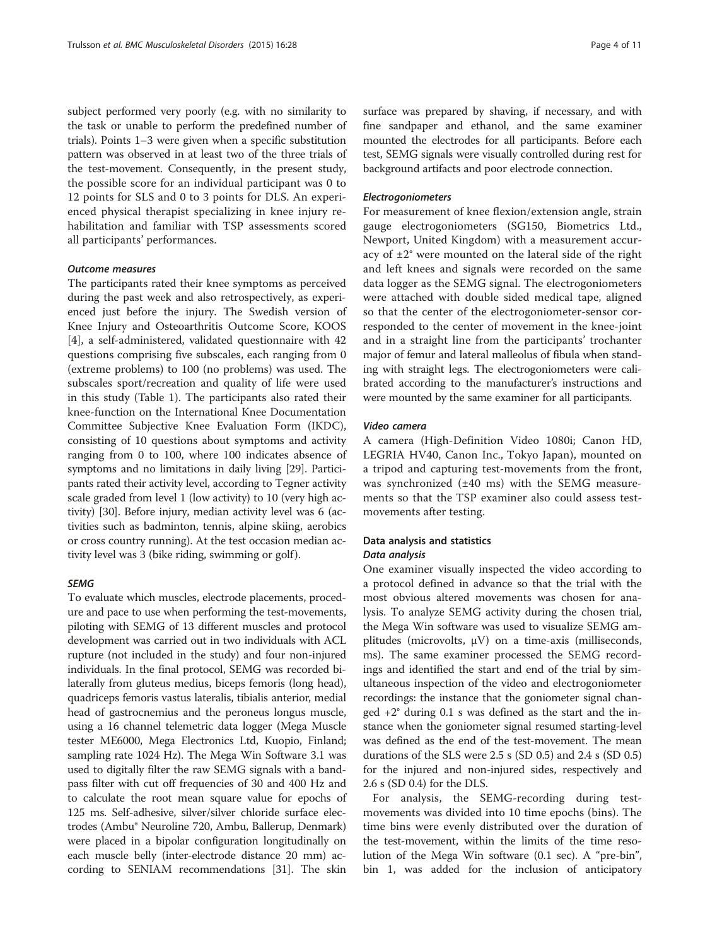subject performed very poorly (e.g. with no similarity to the task or unable to perform the predefined number of trials). Points 1–3 were given when a specific substitution pattern was observed in at least two of the three trials of the test-movement. Consequently, in the present study, the possible score for an individual participant was 0 to 12 points for SLS and 0 to 3 points for DLS. An experienced physical therapist specializing in knee injury rehabilitation and familiar with TSP assessments scored all participants' performances.

#### Outcome measures

The participants rated their knee symptoms as perceived during the past week and also retrospectively, as experienced just before the injury. The Swedish version of Knee Injury and Osteoarthritis Outcome Score, KOOS [[4\]](#page-9-0), a self-administered, validated questionnaire with 42 questions comprising five subscales, each ranging from 0 (extreme problems) to 100 (no problems) was used. The subscales sport/recreation and quality of life were used in this study (Table [1\)](#page-2-0). The participants also rated their knee-function on the International Knee Documentation Committee Subjective Knee Evaluation Form (IKDC), consisting of 10 questions about symptoms and activity ranging from 0 to 100, where 100 indicates absence of symptoms and no limitations in daily living [[29](#page-10-0)]. Participants rated their activity level, according to Tegner activity scale graded from level 1 (low activity) to 10 (very high activity) [\[30\]](#page-10-0). Before injury, median activity level was 6 (activities such as badminton, tennis, alpine skiing, aerobics or cross country running). At the test occasion median activity level was 3 (bike riding, swimming or golf).

# SEMG

To evaluate which muscles, electrode placements, procedure and pace to use when performing the test-movements, piloting with SEMG of 13 different muscles and protocol development was carried out in two individuals with ACL rupture (not included in the study) and four non-injured individuals. In the final protocol, SEMG was recorded bilaterally from gluteus medius, biceps femoris (long head), quadriceps femoris vastus lateralis, tibialis anterior, medial head of gastrocnemius and the peroneus longus muscle, using a 16 channel telemetric data logger (Mega Muscle tester ME6000, Mega Electronics Ltd, Kuopio, Finland; sampling rate 1024 Hz). The Mega Win Software 3.1 was used to digitally filter the raw SEMG signals with a bandpass filter with cut off frequencies of 30 and 400 Hz and to calculate the root mean square value for epochs of 125 ms. Self-adhesive, silver/silver chloride surface electrodes (Ambu® Neuroline 720, Ambu, Ballerup, Denmark) were placed in a bipolar configuration longitudinally on each muscle belly (inter-electrode distance 20 mm) according to SENIAM recommendations [\[31](#page-10-0)]. The skin surface was prepared by shaving, if necessary, and with fine sandpaper and ethanol, and the same examiner mounted the electrodes for all participants. Before each test, SEMG signals were visually controlled during rest for background artifacts and poor electrode connection.

#### Electrogoniometers

For measurement of knee flexion/extension angle, strain gauge electrogoniometers (SG150, Biometrics Ltd., Newport, United Kingdom) with a measurement accuracy of  $\pm 2^{\circ}$  were mounted on the lateral side of the right and left knees and signals were recorded on the same data logger as the SEMG signal. The electrogoniometers were attached with double sided medical tape, aligned so that the center of the electrogoniometer-sensor corresponded to the center of movement in the knee-joint and in a straight line from the participants' trochanter major of femur and lateral malleolus of fibula when standing with straight legs. The electrogoniometers were calibrated according to the manufacturer's instructions and were mounted by the same examiner for all participants.

#### Video camera

A camera (High-Definition Video 1080i; Canon HD, LEGRIA HV40, Canon Inc., Tokyo Japan), mounted on a tripod and capturing test-movements from the front, was synchronized (±40 ms) with the SEMG measurements so that the TSP examiner also could assess testmovements after testing.

# Data analysis and statistics

#### Data analysis

One examiner visually inspected the video according to a protocol defined in advance so that the trial with the most obvious altered movements was chosen for analysis. To analyze SEMG activity during the chosen trial, the Mega Win software was used to visualize SEMG amplitudes (microvolts,  $\mu$ V) on a time-axis (milliseconds, ms). The same examiner processed the SEMG recordings and identified the start and end of the trial by simultaneous inspection of the video and electrogoniometer recordings: the instance that the goniometer signal changed +2° during 0.1 s was defined as the start and the instance when the goniometer signal resumed starting-level was defined as the end of the test-movement. The mean durations of the SLS were 2.5 s (SD 0.5) and 2.4 s (SD 0.5) for the injured and non-injured sides, respectively and 2.6 s (SD 0.4) for the DLS.

For analysis, the SEMG-recording during testmovements was divided into 10 time epochs (bins). The time bins were evenly distributed over the duration of the test-movement, within the limits of the time resolution of the Mega Win software (0.1 sec). A "pre-bin", bin 1, was added for the inclusion of anticipatory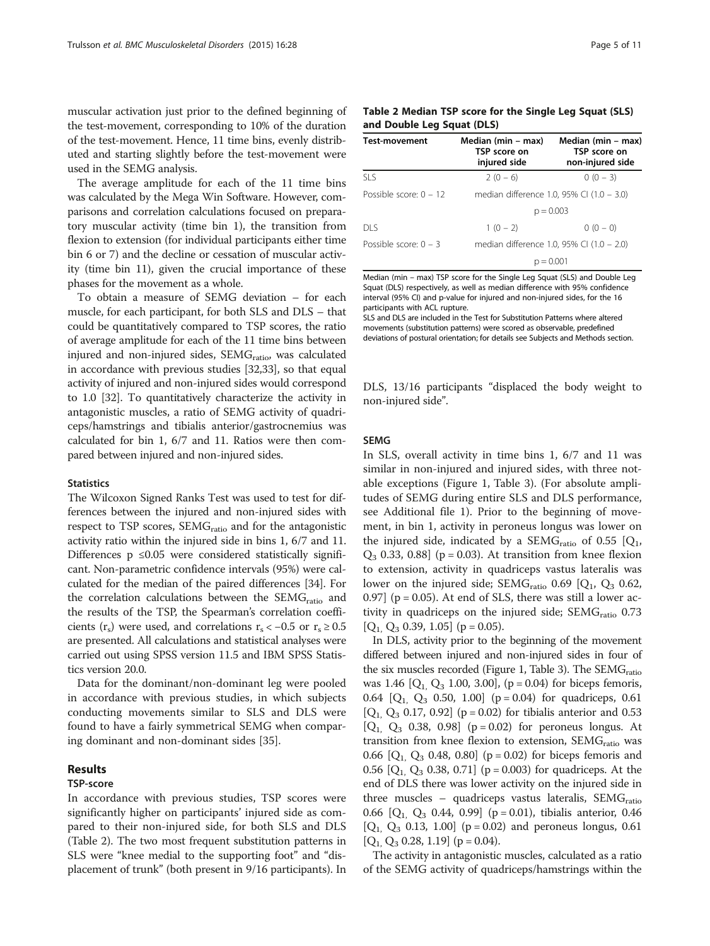muscular activation just prior to the defined beginning of the test-movement, corresponding to 10% of the duration of the test-movement. Hence, 11 time bins, evenly distributed and starting slightly before the test-movement were used in the SEMG analysis.

The average amplitude for each of the 11 time bins was calculated by the Mega Win Software. However, comparisons and correlation calculations focused on preparatory muscular activity (time bin 1), the transition from flexion to extension (for individual participants either time bin 6 or 7) and the decline or cessation of muscular activity (time bin 11), given the crucial importance of these phases for the movement as a whole.

To obtain a measure of SEMG deviation – for each muscle, for each participant, for both SLS and DLS – that could be quantitatively compared to TSP scores, the ratio of average amplitude for each of the 11 time bins between injured and non-injured sides, SEMG<sub>ratio</sub>, was calculated in accordance with previous studies [\[32,33](#page-10-0)], so that equal activity of injured and non-injured sides would correspond to 1.0 [\[32\]](#page-10-0). To quantitatively characterize the activity in antagonistic muscles, a ratio of SEMG activity of quadriceps/hamstrings and tibialis anterior/gastrocnemius was calculated for bin 1, 6/7 and 11. Ratios were then compared between injured and non-injured sides.

#### **Statistics**

The Wilcoxon Signed Ranks Test was used to test for differences between the injured and non-injured sides with respect to TSP scores, SEMG<sub>ratio</sub> and for the antagonistic activity ratio within the injured side in bins 1, 6/7 and 11. Differences p ≤0.05 were considered statistically significant. Non-parametric confidence intervals (95%) were calculated for the median of the paired differences [[34](#page-10-0)]. For the correlation calculations between the  $SEMG<sub>ratio</sub>$  and the results of the TSP, the Spearman's correlation coefficients (r<sub>s</sub>) were used, and correlations r<sub>s</sub> < -0.5 or r<sub>s</sub> ≥ 0.5 are presented. All calculations and statistical analyses were carried out using SPSS version 11.5 and IBM SPSS Statistics version 20.0.

Data for the dominant/non-dominant leg were pooled in accordance with previous studies, in which subjects conducting movements similar to SLS and DLS were found to have a fairly symmetrical SEMG when comparing dominant and non-dominant sides [[35](#page-10-0)].

# Results

#### TSP-score

In accordance with previous studies, TSP scores were significantly higher on participants' injured side as compared to their non-injured side, for both SLS and DLS (Table 2). The two most frequent substitution patterns in SLS were "knee medial to the supporting foot" and "displacement of trunk" (both present in 9/16 participants). In

#### Table 2 Median TSP score for the Single Leg Squat (SLS) and Double Leg Squat (DLS)

| Test-movement            | Median (min – max)<br>TSP score on<br>injured side | Median (min – max)<br>TSP score on<br>non-injured side |  |  |
|--------------------------|----------------------------------------------------|--------------------------------------------------------|--|--|
| SI S                     | $2(0-6)$                                           | $0(0 - 3)$                                             |  |  |
| Possible score: $0 - 12$ | median difference 1.0, 95% CI (1.0 - 3.0)          |                                                        |  |  |
|                          |                                                    | $p = 0.003$                                            |  |  |
| DIS                      | $1(0-2)$                                           | $0(0 - 0)$                                             |  |  |
| Possible score: $0 - 3$  |                                                    | median difference 1.0, 95% CI (1.0 - 2.0)              |  |  |
|                          | $p = 0.001$                                        |                                                        |  |  |

Median (min – max) TSP score for the Single Leg Squat (SLS) and Double Leg Squat (DLS) respectively, as well as median difference with 95% confidence interval (95% CI) and p-value for injured and non-injured sides, for the 16 participants with ACL rupture.

SLS and DLS are included in the Test for Substitution Patterns where altered movements (substitution patterns) were scored as observable, predefined deviations of postural orientation; for details see Subjects and Methods section.

DLS, 13/16 participants "displaced the body weight to non-injured side".

#### SEMG

In SLS, overall activity in time bins 1, 6/7 and 11 was similar in non-injured and injured sides, with three notable exceptions (Figure [1](#page-5-0), Table [3\)](#page-6-0). (For absolute amplitudes of SEMG during entire SLS and DLS performance, see Additional file [1\)](#page-9-0). Prior to the beginning of movement, in bin 1, activity in peroneus longus was lower on the injured side, indicated by a  $SEMG<sub>ratio</sub>$  of 0.55  $[Q<sub>1</sub>,$  $Q_3$  0.33, 0.88] (p = 0.03). At transition from knee flexion to extension, activity in quadriceps vastus lateralis was lower on the injured side;  $SEMG<sub>ratio</sub>$  0.69 [ $Q<sub>1</sub>$ ,  $Q<sub>3</sub>$  0.62, 0.97] ( $p = 0.05$ ). At end of SLS, there was still a lower activity in quadriceps on the injured side;  $SEMG<sub>ratio</sub>$  0.73  $[Q_1, Q_3, 0.39, 1.05]$  (p = 0.05).

In DLS, activity prior to the beginning of the movement differed between injured and non-injured sides in four of the six muscles recorded (Figure [1,](#page-5-0) Table [3\)](#page-6-0). The  $SEMG<sub>ratio</sub>$ was 1.46  $[Q_1, Q_3, 1.00, 3.00]$ ,  $(p = 0.04)$  for biceps femoris, 0.64  $[Q_1, Q_3, 0.50, 1.00]$  (p = 0.04) for quadriceps, 0.61  $[Q_1, Q_3, 0.17, 0.92]$  (p = 0.02) for tibialis anterior and 0.53  $[Q_1, Q_3, 0.38, 0.98]$  (p = 0.02) for peroneus longus. At transition from knee flexion to extension,  $SEMG<sub>ratio</sub>$  was 0.66  $[Q_1, Q_3, 0.48, 0.80]$  (p = 0.02) for biceps femoris and 0.56  $[Q_1, Q_3, 0.38, 0.71]$  (p = 0.003) for quadriceps. At the end of DLS there was lower activity on the injured side in three muscles – quadriceps vastus lateralis,  $SEMG<sub>ratio</sub>$ 0.66  $[Q_1, Q_3, 0.44, 0.99]$  (p = 0.01), tibialis anterior, 0.46  $[Q_1, Q_3, 0.13, 1.00]$  (p = 0.02) and peroneus longus, 0.61  $[Q_1, Q_3, 0.28, 1.19]$  (p = 0.04).

The activity in antagonistic muscles, calculated as a ratio of the SEMG activity of quadriceps/hamstrings within the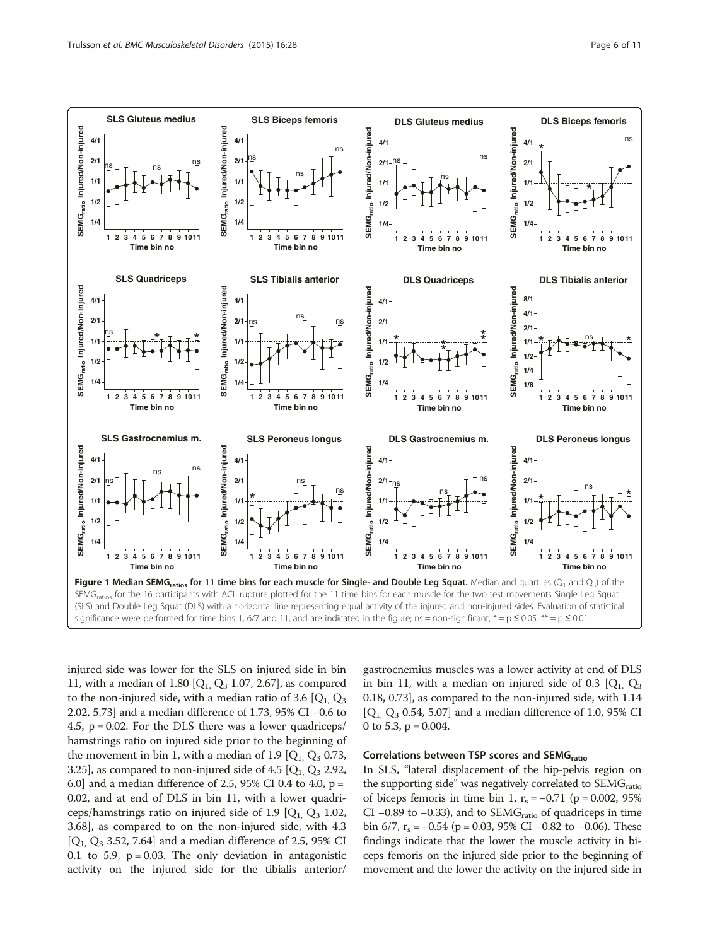<span id="page-5-0"></span>

injured side was lower for the SLS on injured side in bin 11, with a median of 1.80  $[Q_1, Q_3, 1.07, 2.67]$ , as compared to the non-injured side, with a median ratio of 3.6  $[Q_1, Q_3]$ 2.02, 5.73] and a median difference of 1.73, 95% CI −0.6 to 4.5, p = 0.02. For the DLS there was a lower quadriceps/ hamstrings ratio on injured side prior to the beginning of the movement in bin 1, with a median of 1.9  $[Q_1, Q_3, 0.73,$ 3.25], as compared to non-injured side of 4.5  $[Q_1, Q_3, 2.92,$ 6.0] and a median difference of 2.5, 95% CI 0.4 to 4.0,  $p =$ 0.02, and at end of DLS in bin 11, with a lower quadriceps/hamstrings ratio on injured side of 1.9  $[Q_1, Q_3, 1.02,$ 3.68], as compared to on the non-injured side, with 4.3  $[Q_1, Q_3, 3.52, 7.64]$  and a median difference of 2.5, 95% CI 0.1 to 5.9,  $p = 0.03$ . The only deviation in antagonistic activity on the injured side for the tibialis anterior/

gastrocnemius muscles was a lower activity at end of DLS in bin 11, with a median on injured side of 0.3  $[Q_1, Q_3]$ 0.18, 0.73], as compared to the non-injured side, with 1.14  $[Q_1, Q_3, 0.54, 5.07]$  and a median difference of 1.0, 95% CI 0 to 5.3,  $p = 0.004$ .

#### Correlations between TSP scores and SEMG<sub>ratio</sub>

In SLS, "lateral displacement of the hip-pelvis region on the supporting side" was negatively correlated to  $SEMG<sub>ratio</sub>$ of biceps femoris in time bin 1,  $r_s = -0.71$  (p = 0.002, 95% CI  $-0.89$  to  $-0.33$ ), and to SEMG<sub>ratio</sub> of quadriceps in time bin 6/7,  $r_s = -0.54$  (p = 0.03, 95% CI –0.82 to –0.06). These findings indicate that the lower the muscle activity in biceps femoris on the injured side prior to the beginning of movement and the lower the activity on the injured side in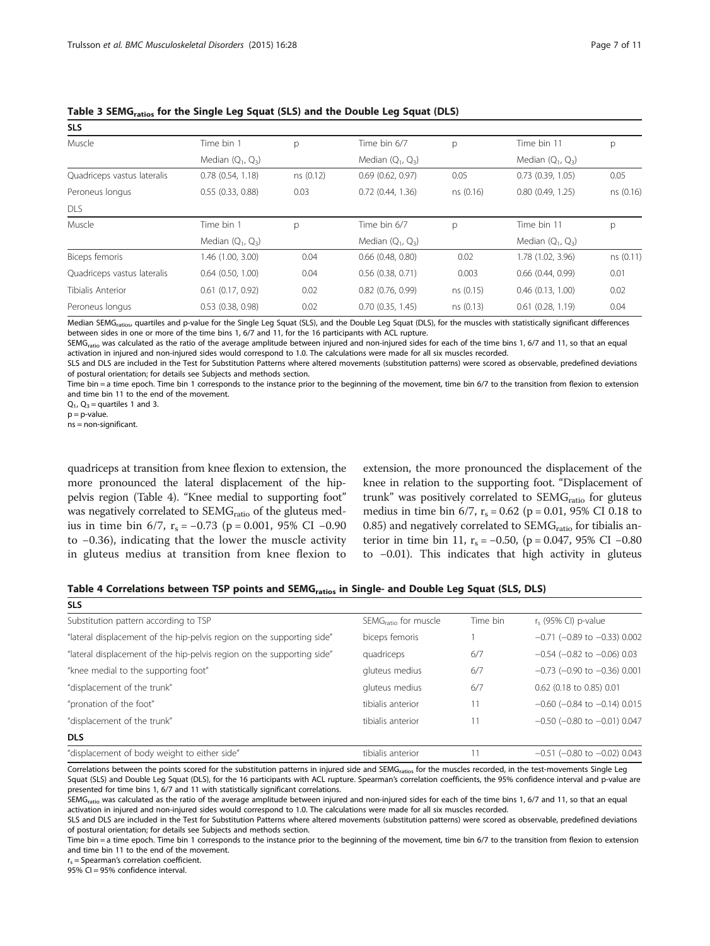| SLS                         |                       |           |                       |           |                       |           |
|-----------------------------|-----------------------|-----------|-----------------------|-----------|-----------------------|-----------|
| Muscle                      | Time bin 1            | p         | Time bin 6/7          | p         | Time bin 11           | p         |
|                             | Median $(Q_1, Q_3)$   |           | Median $(Q_1, Q_3)$   |           | Median $(Q_1, Q_3)$   |           |
| Quadriceps vastus lateralis | $0.78$ $(0.54, 1.18)$ | ns (0.12) | $0.69$ $(0.62, 0.97)$ | 0.05      | 0.73(0.39, 1.05)      | 0.05      |
| Peroneus longus             | 0.55(0.33, 0.88)      | 0.03      | 0.72(0.44, 1.36)      | ns (0.16) | 0.80(0.49, 1.25)      | ns (0.16) |
| <b>DLS</b>                  |                       |           |                       |           |                       |           |
| Muscle                      | Time bin 1            | p         | Time bin 6/7          | p         | Time bin 11           | p         |
|                             | Median $(Q_1, Q_3)$   |           | Median $(Q_1, Q_3)$   |           | Median $(Q_1, Q_3)$   |           |
| Biceps femoris              | 1.46 (1.00, 3.00)     | 0.04      | $0.66$ $(0.48, 0.80)$ | 0.02      | 1.78 (1.02, 3.96)     | ns (0.11) |
| Quadriceps vastus lateralis | $0.64$ $(0.50, 1.00)$ | 0.04      | $0.56$ $(0.38, 0.71)$ | 0.003     | $0.66$ $(0.44, 0.99)$ | 0.01      |
| <b>Tibialis Anterior</b>    | $0.61$ $(0.17, 0.92)$ | 0.02      | $0.82$ (0.76, 0.99)   | ns (0.15) | $0.46$ $(0.13, 1.00)$ | 0.02      |
| Peroneus longus             | $0.53$ $(0.38, 0.98)$ | 0.02      | 0.70(0.35, 1.45)      | ns (0.13) | $0.61$ $(0.28, 1.19)$ | 0.04      |

<span id="page-6-0"></span>Table 3 SEMGratios for the Single Leg Squat (SLS) and the Double Leg Squat (DLS)

Median SEMG<sub>ratios</sub>, quartiles and p-value for the Single Leg Squat (SLS), and the Double Leg Squat (DLS), for the muscles with statistically significant differences between sides in one or more of the time bins 1, 6/7 and 11, for the 16 participants with ACL rupture.

SEMG<sub>ratio</sub> was calculated as the ratio of the average amplitude between injured and non-injured sides for each of the time bins 1, 6/7 and 11, so that an equal activation in injured and non-injured sides would correspond to 1.0. The calculations were made for all six muscles recorded.

SLS and DLS are included in the Test for Substitution Patterns where altered movements (substitution patterns) were scored as observable, predefined deviations of postural orientation; for details see Subjects and methods section.

Time bin = a time epoch. Time bin 1 corresponds to the instance prior to the beginning of the movement, time bin 6/7 to the transition from flexion to extension and time bin 11 to the end of the movement.

 $Q_1$ ,  $Q_3$  = quartiles 1 and 3.

 $p = p$ -value.

ns = non-significant.

quadriceps at transition from knee flexion to extension, the more pronounced the lateral displacement of the hippelvis region (Table 4). "Knee medial to supporting foot" was negatively correlated to SEMG<sub>ratio</sub> of the gluteus medius in time bin 6/7,  $r_s = -0.73$  (p = 0.001, 95% CI −0.90 to −0.36), indicating that the lower the muscle activity in gluteus medius at transition from knee flexion to

extension, the more pronounced the displacement of the knee in relation to the supporting foot. "Displacement of trunk" was positively correlated to  $SEMG<sub>ratio</sub>$  for gluteus medius in time bin 6/7,  $r_s = 0.62$  (p = 0.01, 95% CI 0.18 to 0.85) and negatively correlated to  $SEMG<sub>ratio</sub>$  for tibialis anterior in time bin 11,  $r_s = -0.50$ , (p = 0.047, 95% CI -0.80 to −0.01). This indicates that high activity in gluteus

| Table 4 Correlations between TSP points and SEMG <sub>ratios</sub> in Single- and Double Leg Squat (SLS, DLS) |  |  |
|---------------------------------------------------------------------------------------------------------------|--|--|
|---------------------------------------------------------------------------------------------------------------|--|--|

| <b>SLS</b>                                                             |                                  |          |                                      |
|------------------------------------------------------------------------|----------------------------------|----------|--------------------------------------|
| Substitution pattern according to TSP                                  | SEMG <sub>ratio</sub> for muscle | Time bin | r. (95% CI) p-value                  |
| "lateral displacement of the hip-pelvis region on the supporting side" | biceps femoris                   |          | $-0.71$ ( $-0.89$ to $-0.33$ ) 0.002 |
| "lateral displacement of the hip-pelvis region on the supporting side" | quadriceps                       | 6/7      | $-0.54$ ( $-0.82$ to $-0.06$ ) 0.03  |
| "knee medial to the supporting foot"                                   | gluteus medius                   | 6/7      | $-0.73$ ( $-0.90$ to $-0.36$ ) 0.001 |
| "displacement of the trunk"                                            | gluteus medius                   | 6/7      | 0.62 (0.18 to 0.85) 0.01             |
| "pronation of the foot"                                                | tibialis anterior                | 11       | $-0.60$ ( $-0.84$ to $-0.14$ ) 0.015 |
| "displacement of the trunk"                                            | tibialis anterior                | 11       | $-0.50$ ( $-0.80$ to $-0.01$ ) 0.047 |
| <b>DLS</b>                                                             |                                  |          |                                      |
| "displacement of body weight to either side"                           | tibialis anterior                |          | $-0.51$ ( $-0.80$ to $-0.02$ ) 0.043 |

Correlations between the points scored for the substitution patterns in injured side and SEMG<sub>ratios</sub> for the muscles recorded, in the test-movements Single Leg Squat (SLS) and Double Leg Squat (DLS), for the 16 participants with ACL rupture. Spearman's correlation coefficients, the 95% confidence interval and p-value are presented for time bins 1, 6/7 and 11 with statistically significant correlations.

SEMG<sub>ratio</sub> was calculated as the ratio of the average amplitude between injured and non-injured sides for each of the time bins 1, 6/7 and 11, so that an equal activation in injured and non-injured sides would correspond to 1.0. The calculations were made for all six muscles recorded.

SLS and DLS are included in the Test for Substitution Patterns where altered movements (substitution patterns) were scored as observable, predefined deviations of postural orientation; for details see Subjects and methods section.

Time bin = a time epoch. Time bin 1 corresponds to the instance prior to the beginning of the movement, time bin 6/7 to the transition from flexion to extension and time bin 11 to the end of the movement.

 $r_s$  = Spearman's correlation coefficient.

95% CI = 95% confidence interval.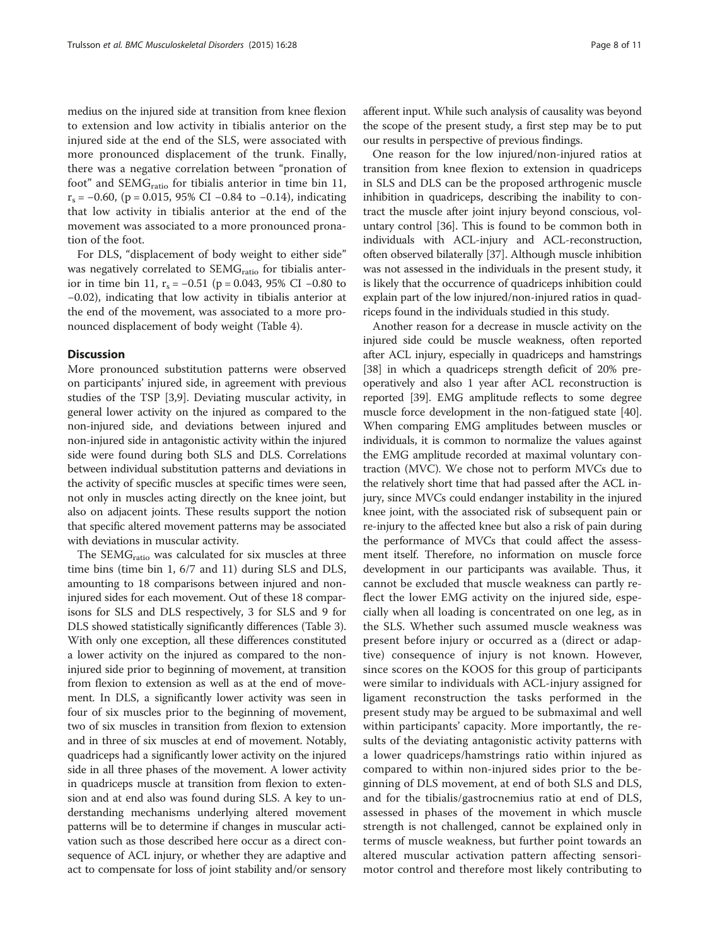medius on the injured side at transition from knee flexion to extension and low activity in tibialis anterior on the injured side at the end of the SLS, were associated with more pronounced displacement of the trunk. Finally, there was a negative correlation between "pronation of foot" and SEMG<sub>ratio</sub> for tibialis anterior in time bin 11,  $r_s$  = −0.60, (p = 0.015, 95% CI −0.84 to −0.14), indicating that low activity in tibialis anterior at the end of the movement was associated to a more pronounced pronation of the foot.

For DLS, "displacement of body weight to either side" was negatively correlated to SEMG<sub>ratio</sub> for tibialis anterior in time bin 11,  $r_s = -0.51$  (p = 0.043, 95% CI −0.80 to −0.02), indicating that low activity in tibialis anterior at the end of the movement, was associated to a more pronounced displacement of body weight (Table [4\)](#page-6-0).

#### **Discussion**

More pronounced substitution patterns were observed on participants' injured side, in agreement with previous studies of the TSP [\[3](#page-9-0),[9](#page-9-0)]. Deviating muscular activity, in general lower activity on the injured as compared to the non-injured side, and deviations between injured and non-injured side in antagonistic activity within the injured side were found during both SLS and DLS. Correlations between individual substitution patterns and deviations in the activity of specific muscles at specific times were seen, not only in muscles acting directly on the knee joint, but also on adjacent joints. These results support the notion that specific altered movement patterns may be associated with deviations in muscular activity.

The  $SEMG<sub>ratio</sub>$  was calculated for six muscles at three time bins (time bin 1, 6/7 and 11) during SLS and DLS, amounting to 18 comparisons between injured and noninjured sides for each movement. Out of these 18 comparisons for SLS and DLS respectively, 3 for SLS and 9 for DLS showed statistically significantly differences (Table [3](#page-6-0)). With only one exception, all these differences constituted a lower activity on the injured as compared to the noninjured side prior to beginning of movement, at transition from flexion to extension as well as at the end of movement. In DLS, a significantly lower activity was seen in four of six muscles prior to the beginning of movement, two of six muscles in transition from flexion to extension and in three of six muscles at end of movement. Notably, quadriceps had a significantly lower activity on the injured side in all three phases of the movement. A lower activity in quadriceps muscle at transition from flexion to extension and at end also was found during SLS. A key to understanding mechanisms underlying altered movement patterns will be to determine if changes in muscular activation such as those described here occur as a direct consequence of ACL injury, or whether they are adaptive and act to compensate for loss of joint stability and/or sensory

afferent input. While such analysis of causality was beyond the scope of the present study, a first step may be to put our results in perspective of previous findings.

One reason for the low injured/non-injured ratios at transition from knee flexion to extension in quadriceps in SLS and DLS can be the proposed arthrogenic muscle inhibition in quadriceps, describing the inability to contract the muscle after joint injury beyond conscious, voluntary control [\[36\]](#page-10-0). This is found to be common both in individuals with ACL-injury and ACL-reconstruction, often observed bilaterally [[37\]](#page-10-0). Although muscle inhibition was not assessed in the individuals in the present study, it is likely that the occurrence of quadriceps inhibition could explain part of the low injured/non-injured ratios in quadriceps found in the individuals studied in this study.

Another reason for a decrease in muscle activity on the injured side could be muscle weakness, often reported after ACL injury, especially in quadriceps and hamstrings [[38](#page-10-0)] in which a quadriceps strength deficit of 20% preoperatively and also 1 year after ACL reconstruction is reported [\[39\]](#page-10-0). EMG amplitude reflects to some degree muscle force development in the non-fatigued state [[40](#page-10-0)]. When comparing EMG amplitudes between muscles or individuals, it is common to normalize the values against the EMG amplitude recorded at maximal voluntary contraction (MVC). We chose not to perform MVCs due to the relatively short time that had passed after the ACL injury, since MVCs could endanger instability in the injured knee joint, with the associated risk of subsequent pain or re-injury to the affected knee but also a risk of pain during the performance of MVCs that could affect the assessment itself. Therefore, no information on muscle force development in our participants was available. Thus, it cannot be excluded that muscle weakness can partly reflect the lower EMG activity on the injured side, especially when all loading is concentrated on one leg, as in the SLS. Whether such assumed muscle weakness was present before injury or occurred as a (direct or adaptive) consequence of injury is not known. However, since scores on the KOOS for this group of participants were similar to individuals with ACL-injury assigned for ligament reconstruction the tasks performed in the present study may be argued to be submaximal and well within participants' capacity. More importantly, the results of the deviating antagonistic activity patterns with a lower quadriceps/hamstrings ratio within injured as compared to within non-injured sides prior to the beginning of DLS movement, at end of both SLS and DLS, and for the tibialis/gastrocnemius ratio at end of DLS, assessed in phases of the movement in which muscle strength is not challenged, cannot be explained only in terms of muscle weakness, but further point towards an altered muscular activation pattern affecting sensorimotor control and therefore most likely contributing to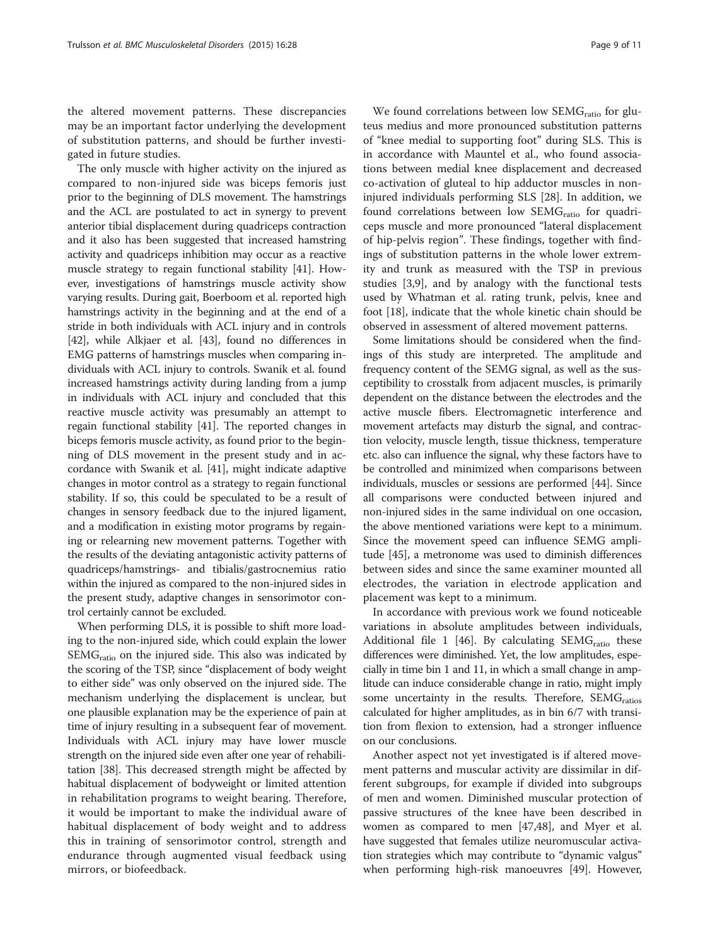the altered movement patterns. These discrepancies may be an important factor underlying the development of substitution patterns, and should be further investigated in future studies.

The only muscle with higher activity on the injured as compared to non-injured side was biceps femoris just prior to the beginning of DLS movement. The hamstrings and the ACL are postulated to act in synergy to prevent anterior tibial displacement during quadriceps contraction and it also has been suggested that increased hamstring activity and quadriceps inhibition may occur as a reactive muscle strategy to regain functional stability [[41](#page-10-0)]. However, investigations of hamstrings muscle activity show varying results. During gait, Boerboom et al. reported high hamstrings activity in the beginning and at the end of a stride in both individuals with ACL injury and in controls [[42](#page-10-0)], while Alkjaer et al. [\[43\]](#page-10-0), found no differences in EMG patterns of hamstrings muscles when comparing individuals with ACL injury to controls. Swanik et al. found increased hamstrings activity during landing from a jump in individuals with ACL injury and concluded that this reactive muscle activity was presumably an attempt to regain functional stability [[41](#page-10-0)]. The reported changes in biceps femoris muscle activity, as found prior to the beginning of DLS movement in the present study and in accordance with Swanik et al. [[41](#page-10-0)], might indicate adaptive changes in motor control as a strategy to regain functional stability. If so, this could be speculated to be a result of changes in sensory feedback due to the injured ligament, and a modification in existing motor programs by regaining or relearning new movement patterns. Together with the results of the deviating antagonistic activity patterns of quadriceps/hamstrings- and tibialis/gastrocnemius ratio within the injured as compared to the non-injured sides in the present study, adaptive changes in sensorimotor control certainly cannot be excluded.

When performing DLS, it is possible to shift more loading to the non-injured side, which could explain the lower SEMG<sub>ratio</sub> on the injured side. This also was indicated by the scoring of the TSP, since "displacement of body weight to either side" was only observed on the injured side. The mechanism underlying the displacement is unclear, but one plausible explanation may be the experience of pain at time of injury resulting in a subsequent fear of movement. Individuals with ACL injury may have lower muscle strength on the injured side even after one year of rehabilitation [[38](#page-10-0)]. This decreased strength might be affected by habitual displacement of bodyweight or limited attention in rehabilitation programs to weight bearing. Therefore, it would be important to make the individual aware of habitual displacement of body weight and to address this in training of sensorimotor control, strength and endurance through augmented visual feedback using mirrors, or biofeedback.

We found correlations between low SEMG<sub>ratio</sub> for gluteus medius and more pronounced substitution patterns of "knee medial to supporting foot" during SLS. This is in accordance with Mauntel et al., who found associations between medial knee displacement and decreased co-activation of gluteal to hip adductor muscles in noninjured individuals performing SLS [[28\]](#page-10-0). In addition, we found correlations between low  $SEMG<sub>ratio</sub>$  for quadriceps muscle and more pronounced "lateral displacement of hip-pelvis region". These findings, together with findings of substitution patterns in the whole lower extremity and trunk as measured with the TSP in previous studies [[3,9\]](#page-9-0), and by analogy with the functional tests used by Whatman et al. rating trunk, pelvis, knee and foot [\[18](#page-10-0)], indicate that the whole kinetic chain should be observed in assessment of altered movement patterns.

Some limitations should be considered when the findings of this study are interpreted. The amplitude and frequency content of the SEMG signal, as well as the susceptibility to crosstalk from adjacent muscles, is primarily dependent on the distance between the electrodes and the active muscle fibers. Electromagnetic interference and movement artefacts may disturb the signal, and contraction velocity, muscle length, tissue thickness, temperature etc. also can influence the signal, why these factors have to be controlled and minimized when comparisons between individuals, muscles or sessions are performed [\[44\]](#page-10-0). Since all comparisons were conducted between injured and non-injured sides in the same individual on one occasion, the above mentioned variations were kept to a minimum. Since the movement speed can influence SEMG amplitude [\[45\]](#page-10-0), a metronome was used to diminish differences between sides and since the same examiner mounted all electrodes, the variation in electrode application and placement was kept to a minimum.

In accordance with previous work we found noticeable variations in absolute amplitudes between individuals, Additional file [1](#page-9-0) [[46\]](#page-10-0). By calculating  $SEMG<sub>ratio</sub>$  these differences were diminished. Yet, the low amplitudes, especially in time bin 1 and 11, in which a small change in amplitude can induce considerable change in ratio, might imply some uncertainty in the results. Therefore,  $SEMG<sub>ratios</sub>$ calculated for higher amplitudes, as in bin 6/7 with transition from flexion to extension, had a stronger influence on our conclusions.

Another aspect not yet investigated is if altered movement patterns and muscular activity are dissimilar in different subgroups, for example if divided into subgroups of men and women. Diminished muscular protection of passive structures of the knee have been described in women as compared to men [\[47,48\]](#page-10-0), and Myer et al. have suggested that females utilize neuromuscular activation strategies which may contribute to "dynamic valgus" when performing high-risk manoeuvres [[49](#page-10-0)]. However,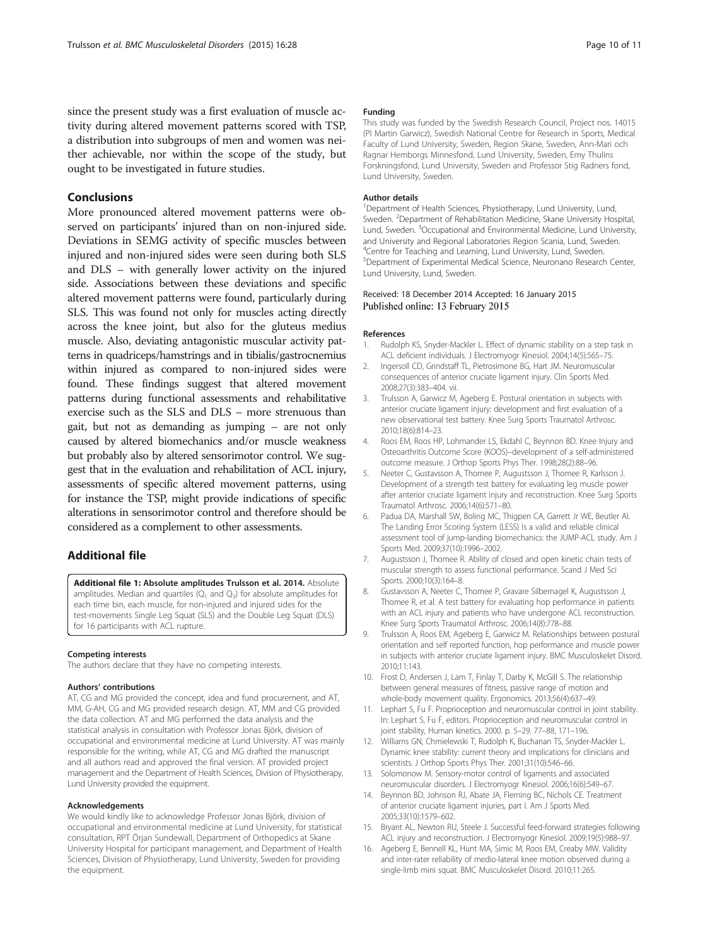<span id="page-9-0"></span>since the present study was a first evaluation of muscle activity during altered movement patterns scored with TSP, a distribution into subgroups of men and women was neither achievable, nor within the scope of the study, but ought to be investigated in future studies.

#### Conclusions

More pronounced altered movement patterns were observed on participants' injured than on non-injured side. Deviations in SEMG activity of specific muscles between injured and non-injured sides were seen during both SLS and DLS – with generally lower activity on the injured side. Associations between these deviations and specific altered movement patterns were found, particularly during SLS. This was found not only for muscles acting directly across the knee joint, but also for the gluteus medius muscle. Also, deviating antagonistic muscular activity patterns in quadriceps/hamstrings and in tibialis/gastrocnemius within injured as compared to non-injured sides were found. These findings suggest that altered movement patterns during functional assessments and rehabilitative exercise such as the SLS and DLS – more strenuous than gait, but not as demanding as jumping – are not only caused by altered biomechanics and/or muscle weakness but probably also by altered sensorimotor control. We suggest that in the evaluation and rehabilitation of ACL injury, assessments of specific altered movement patterns, using for instance the TSP, might provide indications of specific alterations in sensorimotor control and therefore should be considered as a complement to other assessments.

# Additional file

[Additional file 1:](http://www.biomedcentral.com/content/supplementary/s12891-015-0472-y-s1.pdf) Absolute amplitudes Trulsson et al. 2014. Absolute amplitudes. Median and quartiles ( $Q_1$  and  $Q_3$ ) for absolute amplitudes for each time bin, each muscle, for non-injured and injured sides for the test-movements Single Leg Squat (SLS) and the Double Leg Squat (DLS) for 16 participants with ACL rupture.

#### Competing interests

The authors declare that they have no competing interests.

#### Authors' contributions

AT, CG and MG provided the concept, idea and fund procurement, and AT, MM, G-AH, CG and MG provided research design. AT, MM and CG provided the data collection. AT and MG performed the data analysis and the statistical analysis in consultation with Professor Jonas Björk, division of occupational and environmental medicine at Lund University. AT was mainly responsible for the writing, while AT, CG and MG drafted the manuscript and all authors read and approved the final version. AT provided project management and the Department of Health Sciences, Division of Physiotherapy, Lund University provided the equipment.

#### Acknowledgements

We would kindly like to acknowledge Professor Jonas Björk, division of occupational and environmental medicine at Lund University, for statistical consultation, RPT Örjan Sundewall, Department of Orthopedics at Skane University Hospital for participant management, and Department of Health Sciences, Division of Physiotherapy, Lund University, Sweden for providing the equipment.

#### Funding

This study was funded by the Swedish Research Council, Project nos. 14015 (PI Martin Garwicz), Swedish National Centre for Research in Sports, Medical Faculty of Lund University, Sweden, Region Skane, Sweden, Ann-Mari och Ragnar Hemborgs Minnesfond, Lund University, Sweden, Emy Thulins Forskningsfond, Lund University, Sweden and Professor Stig Radners fond, Lund University, Sweden.

#### Author details

<sup>1</sup>Department of Health Sciences, Physiotherapy, Lund University, Lund Sweden. <sup>2</sup>Department of Rehabilitation Medicine, Skane University Hospital Lund, Sweden. <sup>3</sup>Occupational and Environmental Medicine, Lund University and University and Regional Laboratories Region Scania, Lund, Sweden. 4 Centre for Teaching and Learning, Lund University, Lund, Sweden. 5 Department of Experimental Medical Science, Neuronano Research Center, Lund University, Lund, Sweden.

#### Received: 18 December 2014 Accepted: 16 January 2015 Published online: 13 February 2015

#### References

- 1. Rudolph KS, Snyder-Mackler L. Effect of dynamic stability on a step task in ACL deficient individuals. J Electromyogr Kinesiol. 2004;14(5):565–75.
- 2. Ingersoll CD, Grindstaff TL, Pietrosimone BG, Hart JM. Neuromuscular consequences of anterior cruciate ligament injury. Clin Sports Med. 2008;27(3):383–404. vii.
- 3. Trulsson A, Garwicz M, Ageberg E. Postural orientation in subjects with anterior cruciate ligament injury: development and first evaluation of a new observational test battery. Knee Surg Sports Traumatol Arthrosc. 2010;18(6):814–23.
- 4. Roos EM, Roos HP, Lohmander LS, Ekdahl C, Beynnon BD. Knee Injury and Osteoarthritis Outcome Score (KOOS)–development of a self-administered outcome measure. J Orthop Sports Phys Ther. 1998;28(2):88–96.
- 5. Neeter C, Gustavsson A, Thomee P, Augustsson J, Thomee R, Karlsson J. Development of a strength test battery for evaluating leg muscle power after anterior cruciate ligament injury and reconstruction. Knee Surg Sports Traumatol Arthrosc. 2006;14(6):571–80.
- 6. Padua DA, Marshall SW, Boling MC, Thigpen CA, Garrett Jr WE, Beutler AI. The Landing Error Scoring System (LESS) Is a valid and reliable clinical assessment tool of jump-landing biomechanics: the JUMP-ACL study. Am J Sports Med. 2009;37(10):1996–2002.
- 7. Augustsson J, Thomee R. Ability of closed and open kinetic chain tests of muscular strength to assess functional performance. Scand J Med Sci Sports. 2000;10(3):164–8.
- 8. Gustavsson A, Neeter C, Thomee P, Gravare Silbernagel K, Augustsson J, Thomee R, et al. A test battery for evaluating hop performance in patients with an ACL injury and patients who have undergone ACL reconstruction. Knee Surg Sports Traumatol Arthrosc. 2006;14(8):778–88.
- 9. Trulsson A, Roos EM, Ageberg E, Garwicz M. Relationships between postural orientation and self reported function, hop performance and muscle power in subjects with anterior cruciate ligament injury. BMC Musculoskelet Disord. 2010;11:143.
- 10. Frost D, Andersen J, Lam T, Finlay T, Darby K, McGill S. The relationship between general measures of fitness, passive range of motion and whole-body movement quality. Ergonomics. 2013;56(4):637–49.
- 11. Lephart S, Fu F. Proprioception and neuromuscular control in joint stability. In: Lephart S, Fu F, editors. Proprioception and neuromuscular control in joint stability, Human kinetics. 2000. p. 5–29. 77–88, 171–196.
- 12. Williams GN, Chmielewski T, Rudolph K, Buchanan TS, Snyder-Mackler L. Dynamic knee stability: current theory and implications for clinicians and scientists. J Orthop Sports Phys Ther. 2001;31(10):546–66.
- 13. Solomonow M. Sensory-motor control of ligaments and associated neuromuscular disorders. J Electromyogr Kinesiol. 2006;16(6):549–67.
- 14. Beynnon BD, Johnson RJ, Abate JA, Fleming BC, Nichols CE. Treatment of anterior cruciate ligament injuries, part I. Am J Sports Med. 2005;33(10):1579–602.
- 15. Bryant AL, Newton RU, Steele J. Successful feed-forward strategies following ACL injury and reconstruction. J Electromyogr Kinesiol. 2009;19(5):988–97.
- 16. Ageberg E, Bennell KL, Hunt MA, Simic M, Roos EM, Creaby MW. Validity and inter-rater reliability of medio-lateral knee motion observed during a single-limb mini squat. BMC Musculoskelet Disord. 2010;11:265.